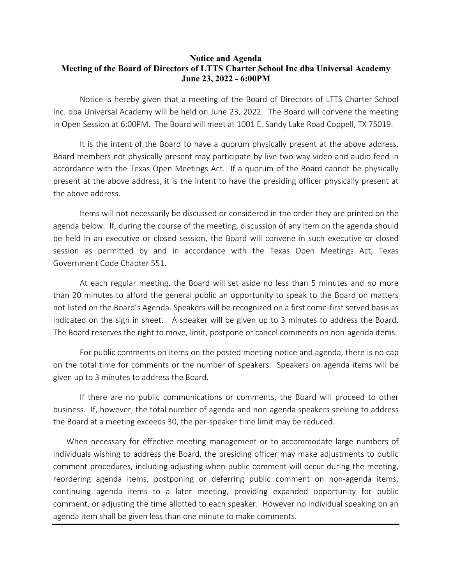## **Notice and Agenda Meeting of the Board of Directors of LTTS Charter School Inc dba Universal Academy June 23, 2022 - 6:00PM**

Notice is hereby given that a meeting of the Board of Directors of LTTS Charter School Inc. dba Universal Academy will be held on June 23, 2022. The Board will convene the meeting in Open Session at 6:00PM. The Board will meet at 1001 E. Sandy Lake Road Coppell, TX 75019.

It is the intent of the Board to have a quorum physically present at the above address. Board members not physically present may participate by live two-way video and audio feed in accordance with the Texas Open Meetings Act. If a quorum of the Board cannot be physically present at the above address, it is the intent to have the presiding officer physically present at the above address.

Items will not necessarily be discussed or considered in the order they are printed on the agenda below. If, during the course of the meeting, discussion of any item on the agenda should be held in an executive or closed session, the Board will convene in such executive or closed session as permitted by and in accordance with the Texas Open Meetings Act, Texas Government Code Chapter 551.

At each regular meeting, the Board will set aside no less than 5 minutes and no more than 20 minutes to afford the general public an opportunity to speak to the Board on matters not listed on the Board's Agenda. Speakers will be recognized on a first come-first served basis as indicated on the sign in sheet. A speaker will be given up to 3 minutes to address the Board. The Board reserves the right to move, limit, postpone or cancel comments on non-agenda items.

For public comments on items on the posted meeting notice and agenda, there is no cap on the total time for comments or the number of speakers. Speakers on agenda items will be given up to 3 minutes to address the Board.

If there are no public communications or comments, the Board will proceed to other business. If, however, the total number of agenda and non-agenda speakers seeking to address the Board at a meeting exceeds 30, the per-speaker time limit may be reduced.

When necessary for effective meeting management or to accommodate large numbers of individuals wishing to address the Board, the presiding officer may make adjustments to public comment procedures, including adjusting when public comment will occur during the meeting, reordering agenda items, postponing or deferring public comment on non-agenda items, continuing agenda items to a later meeting, providing expanded opportunity for public comment, or adjusting the time allotted to each speaker. However no individual speaking on an agenda item shall be given less than one minute to make comments.